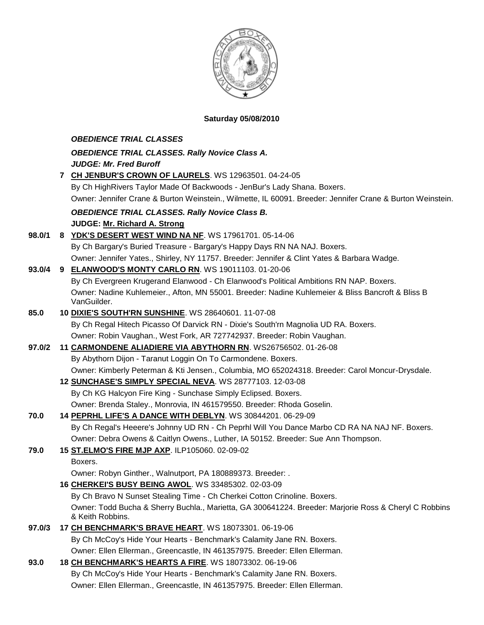

#### **Saturday 05/08/2010**

#### *OBEDIENCE TRIAL CLASSES*

*OBEDIENCE TRIAL CLASSES. Rally Novice Class A. JUDGE: Mr. Fred Buroff*

**7 [CH JENBUR'S CROWN OF LAURELS](http://canis.infodog.com/files/bdogrsl1.prg;makc=WS_12963501;mdog=Ch_JenBur_s_Crown_Of_Laurels;wins=all)**. WS 12963501. 04-24-05 By Ch HighRivers Taylor Made Of Backwoods - JenBur's Lady Shana. Boxers. Owner: Jennifer Crane & Burton Weinstein., Wilmette, IL 60091. Breeder: Jennifer Crane & Burton Weinstein. *OBEDIENCE TRIAL CLASSES. Rally Novice Class B.* **JUDGE: [Mr. Richard A. Strong](http://www.infodog.com/judges/2197/juddat.htm)  98.0/1 8 [YDK'S DESERT WEST WIND NA NF](http://canis.infodog.com/files/bdogrsl1.prg;makc=WS_17961701;mdog=YDK_s_Desert_West_Wind_NA_NF;wins=all)**. WS 17961701. 05-14-06 By Ch Bargary's Buried Treasure - Bargary's Happy Days RN NA NAJ. Boxers. Owner: Jennifer Yates., Shirley, NY 11757. Breeder: Jennifer & Clint Yates & Barbara Wadge. **93.0/4 9 [ELANWOOD'S MONTY CARLO RN](http://canis.infodog.com/files/bdogrsl1.prg;makc=WS_19011103;mdog=Elanwood_s_Monty_Carlo_RN;wins=all)**. WS 19011103. 01-20-06

### By Ch Evergreen Krugerand Elanwood - Ch Elanwood's Political Ambitions RN NAP. Boxers. Owner: Nadine Kuhlemeier., Afton, MN 55001. Breeder: Nadine Kuhlemeier & Bliss Bancroft & Bliss B VanGuilder.

# **85.0 10 [DIXIE'S SOUTH'RN SUNSHINE](http://canis.infodog.com/files/bdogrsl1.prg;makc=WS_28640601;mdog=Dixie_s_South_rn_Sunshine;wins=all)**. WS 28640601. 11-07-08

By Ch Regal Hitech Picasso Of Darvick RN - Dixie's South'rn Magnolia UD RA. Boxers. Owner: Robin Vaughan., West Fork, AR 727742937. Breeder: Robin Vaughan.

# **97.0/2 11 [CARMONDENE ALIADIERE VIA ABYTHORN RN](http://canis.infodog.com/files/bdogrsl1.prg;makc=WS26756502;mdog=Carmondene_Aliadiere_Via_Abythorn_RN;wins=all)**. WS26756502. 01-26-08

By Abythorn Dijon - Taranut Loggin On To Carmondene. Boxers. Owner: Kimberly Peterman & Kti Jensen., Columbia, MO 652024318. Breeder: Carol Moncur-Drysdale.

#### **12 [SUNCHASE'S SIMPLY SPECIAL NEVA](http://canis.infodog.com/files/bdogrsl1.prg;makc=WS_28777103;mdog=Sunchase_s_Simply_Special_Neva;wins=all)**. WS 28777103. 12-03-08

By Ch KG Halcyon Fire King - Sunchase Simply Eclipsed. Boxers. Owner: Brenda Staley., Monrovia, IN 461579550. Breeder: Rhoda Goselin.

#### **70.0 14 [PEPRHL LIFE'S A DANCE WITH DEBLYN](http://canis.infodog.com/files/bdogrsl1.prg;makc=WS_30844201;mdog=Peprhl_Life_s_A_Dance_With_DebLyn;wins=all)**. WS 30844201. 06-29-09

By Ch Regal's Heeere's Johnny UD RN - Ch Peprhl Will You Dance Marbo CD RA NA NAJ NF. Boxers. Owner: Debra Owens & Caitlyn Owens., Luther, IA 50152. Breeder: Sue Ann Thompson.

# **79.0 15 [ST.ELMO'S FIRE MJP AXP](http://canis.infodog.com/files/bdogrsl1.prg;makc=ILP105060;mdog=St.Elmo_s_Fire_MJP_AXP;wins=all)**. ILP105060. 02-09-02

Boxers.

Owner: Robyn Ginther., Walnutport, PA 180889373. Breeder: .

**16 [CHERKEI'S BUSY BEING AWOL](http://canis.infodog.com/files/bdogrsl1.prg;makc=WS_33485302;mdog=CherKei_s_Busy_Being_AWOL;wins=all)**. WS 33485302. 02-03-09

By Ch Bravo N Sunset Stealing Time - Ch Cherkei Cotton Crinoline. Boxers.

Owner: Todd Bucha & Sherry Buchla., Marietta, GA 300641224. Breeder: Marjorie Ross & Cheryl C Robbins & Keith Robbins.

#### **97.0/3 17 [CH BENCHMARK'S BRAVE HEART](http://canis.infodog.com/files/bdogrsl1.prg;makc=WS_18073301;mdog=Ch_Benchmark_s_Brave_Heart;wins=all)**. WS 18073301. 06-19-06

By Ch McCoy's Hide Your Hearts - Benchmark's Calamity Jane RN. Boxers.

Owner: Ellen Ellerman., Greencastle, IN 461357975. Breeder: Ellen Ellerman.

# **93.0 18 [CH BENCHMARK'S HEARTS A FIRE](http://canis.infodog.com/files/bdogrsl1.prg;makc=WS_18073302;mdog=Ch_Benchmark_s_Hearts_A_Fire;wins=all)**. WS 18073302. 06-19-06

By Ch McCoy's Hide Your Hearts - Benchmark's Calamity Jane RN. Boxers. Owner: Ellen Ellerman., Greencastle, IN 461357975. Breeder: Ellen Ellerman.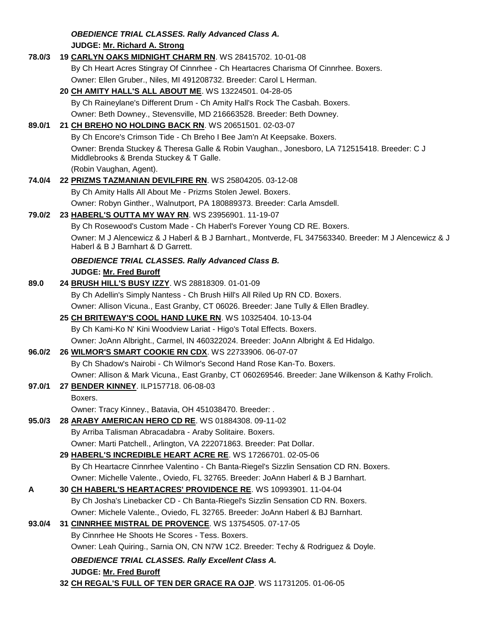#### *OBEDIENCE TRIAL CLASSES. Rally Advanced Class A.* **JUDGE: [Mr. Richard A. Strong](http://www.infodog.com/judges/2197/juddat.htm)**

**78.0/3 19 [CARLYN OAKS MIDNIGHT CHARM RN](http://canis.infodog.com/files/bdogrsl1.prg;makc=WS_28415702;mdog=Carlyn_Oaks_Midnight_Charm_RN;wins=all)**. WS 28415702. 10-01-08 By Ch Heart Acres Stingray Of Cinnrhee - Ch Heartacres Charisma Of Cinnrhee. Boxers. Owner: Ellen Gruber., Niles, MI 491208732. Breeder: Carol L Herman. **20 [CH AMITY HALL'S ALL ABOUT ME](http://canis.infodog.com/files/bdogrsl1.prg;makc=WS_13224501;mdog=Ch_Amity_Hall_s_All_About_Me;wins=all)**. WS 13224501. 04-28-05 By Ch Raineylane's Different Drum - Ch Amity Hall's Rock The Casbah. Boxers. Owner: Beth Downey., Stevensville, MD 216663528. Breeder: Beth Downey. **89.0/1 21 [CH BREHO NO HOLDING BACK RN](http://canis.infodog.com/files/bdogrsl1.prg;makc=WS_20651501;mdog=Ch_Breho_No_Holding_Back_RN;wins=all)**. WS 20651501. 02-03-07 By Ch Encore's Crimson Tide - Ch Breho I Bee Jam'n At Keepsake. Boxers. Owner: Brenda Stuckey & Theresa Galle & Robin Vaughan., Jonesboro, LA 712515418. Breeder: C J Middlebrooks & Brenda Stuckey & T Galle. (Robin Vaughan, Agent). **74.0/4 22 [PRIZMS TAZMANIAN DEVILFIRE RN](http://canis.infodog.com/files/bdogrsl1.prg;makc=WS_25804205;mdog=Prizms_Tazmanian_DevilFire_RN;wins=all)**. WS 25804205. 03-12-08 By Ch Amity Halls All About Me - Prizms Stolen Jewel. Boxers. Owner: Robyn Ginther., Walnutport, PA 180889373. Breeder: Carla Amsdell. **79.0/2 23 [HABERL'S OUTTA MY WAY RN](http://canis.infodog.com/files/bdogrsl1.prg;makc=WS_23956901;mdog=Haberl_s_Outta_My_Way_RN;wins=all)**. WS 23956901. 11-19-07 By Ch Rosewood's Custom Made - Ch Haberl's Forever Young CD RE. Boxers. Owner: M J Alencewicz & J Haberl & B J Barnhart., Montverde, FL 347563340. Breeder: M J Alencewicz & J Haberl & B J Barnhart & D Garrett. *OBEDIENCE TRIAL CLASSES. Rally Advanced Class B.* **JUDGE: [Mr. Fred Buroff](http://www.infodog.com/judges/5277/juddat.htm)  89.0 24 [BRUSH HILL'S BUSY IZZY](http://canis.infodog.com/files/bdogrsl1.prg;makc=WS_28818309;mdog=Brush_Hill_s_Busy_Izzy;wins=all)**. WS 28818309. 01-01-09 By Ch Adellin's Simply Nantess - Ch Brush Hill's All Riled Up RN CD. Boxers. Owner: Allison Vicuna., East Granby, CT 06026. Breeder: Jane Tully & Ellen Bradley. **25 [CH BRITEWAY'S COOL HAND LUKE RN](http://canis.infodog.com/files/bdogrsl1.prg;makc=WS_10325404;mdog=Ch_Briteway_s_Cool_Hand_Luke_RN;wins=all)**. WS 10325404. 10-13-04 By Ch Kami-Ko N' Kini Woodview Lariat - Higo's Total Effects. Boxers. Owner: JoAnn Albright., Carmel, IN 460322024. Breeder: JoAnn Albright & Ed Hidalgo. **96.0/2 26 [WILMOR'S SMART COOKIE RN CDX](http://canis.infodog.com/files/bdogrsl1.prg;makc=WS_22733906;mdog=Wilmor_s_Smart_Cookie_RN_CDX;wins=all)**. WS 22733906. 06-07-07 By Ch Shadow's Nairobi - Ch Wilmor's Second Hand Rose Kan-To. Boxers. Owner: Allison & Mark Vicuna., East Granby, CT 060269546. Breeder: Jane Wilkenson & Kathy Frolich. **97.0/1 27 [BENDER KINNEY](http://canis.infodog.com/files/bdogrsl1.prg;makc=ILP157718;mdog=Bender_Kinney;wins=all)**. ILP157718. 06-08-03 Boxers. Owner: Tracy Kinney., Batavia, OH 451038470. Breeder: . **95.0/3 28 [ARABY AMERICAN HERO CD RE](http://canis.infodog.com/files/bdogrsl1.prg;makc=WS_01884308;mdog=Araby_American_Hero_CD_RE;wins=all)**. WS 01884308. 09-11-02 By Arriba Talisman Abracadabra - Araby Solitaire. Boxers. Owner: Marti Patchell., Arlington, VA 222071863. Breeder: Pat Dollar. **29 [HABERL'S INCREDIBLE HEART ACRE RE](http://canis.infodog.com/files/bdogrsl1.prg;makc=WS_17266701;mdog=Haberl_s_Incredible_Heart_Acre_RE;wins=all)**. WS 17266701. 02-05-06 By Ch Heartacre Cinnrhee Valentino - Ch Banta-Riegel's Sizzlin Sensation CD RN. Boxers. Owner: Michelle Valente., Oviedo, FL 32765. Breeder: JoAnn Haberl & B J Barnhart. **A 30 [CH HABERL'S HEARTACRES' PROVIDENCE RE](http://canis.infodog.com/files/bdogrsl1.prg;makc=WS_10993901;mdog=Ch_Haberl_s_Heartacres__Providence_RE;wins=all)**. WS 10993901. 11-04-04 By Ch Josha's Linebacker CD - Ch Banta-Riegel's Sizzlin Sensation CD RN. Boxers. Owner: Michele Valente., Oviedo, FL 32765. Breeder: JoAnn Haberl & BJ Barnhart. **93.0/4 31 [CINNRHEE MISTRAL DE PROVENCE](http://canis.infodog.com/files/bdogrsl1.prg;makc=WS_13754505;mdog=Cinnrhee_Mistral_De_Provence;wins=all)**. WS 13754505. 07-17-05 By Cinnrhee He Shoots He Scores - Tess. Boxers. Owner: Leah Quiring., Sarnia ON, CN N7W 1C2. Breeder: Techy & Rodriguez & Doyle. *OBEDIENCE TRIAL CLASSES. Rally Excellent Class A.* **JUDGE: [Mr. Fred Buroff](http://www.infodog.com/judges/5277/juddat.htm)  32 [CH REGAL'S FULL OF TEN DER GRACE RA OJP](http://canis.infodog.com/files/bdogrsl1.prg;makc=WS_11731205;mdog=Ch_Regal_s_Full_Of_Ten_Der_Grace_RA_OJP;wins=all)**. WS 11731205. 01-06-05